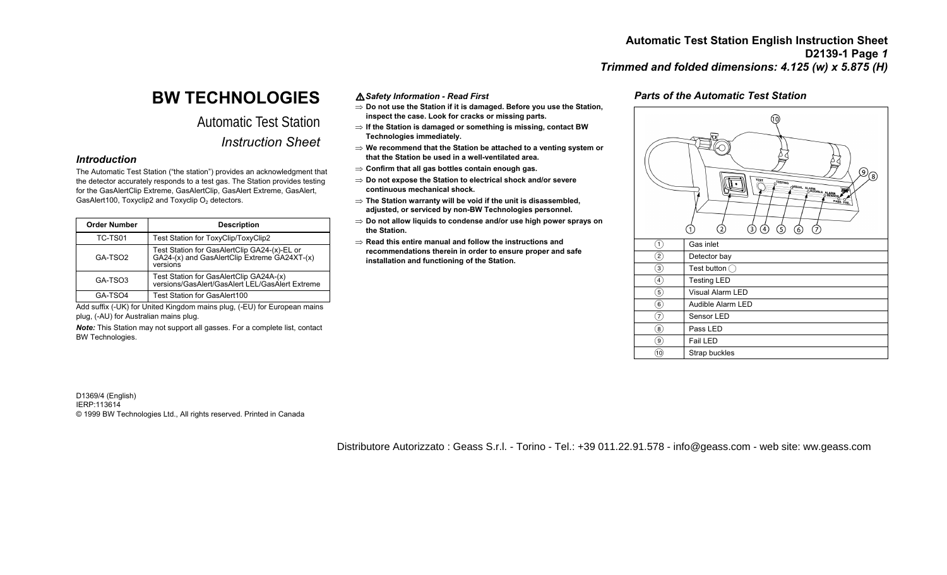# **BW TECHNOLOGIES**

# Automatic Test Station *Instruction Sheet*

## *Introduction*

The Automatic Test Station ("the station") provides an acknowledgment that the detector accurately responds to a test gas. The Station provides testing for the GasAlertClip Extreme, GasAlertClip, GasAlert Extreme, GasAlert, GasAlert100, Toxyclip2 and Toxyclip  $O<sub>2</sub>$  detectors.

| <b>Order Number</b> | <b>Description</b>                                                                                       |  |
|---------------------|----------------------------------------------------------------------------------------------------------|--|
| TC-TS01             | Test Station for ToxyClip/ToxyClip2                                                                      |  |
| GA-TSO <sub>2</sub> | Test Station for GasAlertClip GA24-(x)-EL or<br>GA24-(x) and GasAlertClip Extreme GA24XT-(x)<br>versions |  |
| GA-TSO3             | Test Station for GasAlertClip GA24A-(x)<br>versions/GasAlert/GasAlert LEL/GasAlert Extreme               |  |
| GA-TSO4             | <b>Test Station for GasAlert100</b>                                                                      |  |

Add suffix (-UK) for United Kingdom mains plug, (-EU) for European mains plug, (-AU) for Australian mains plug.

*Note:* This Station may not support all gasses. For a complete list, contact BW Technologies.

a*Safety Information - Read First* 

- <sup>⇒</sup>**Do not use the Station if it is damaged. Before you use the Station, inspect the case. Look for cracks or missing parts.**
- <sup>⇒</sup>**If the Station is damaged or something is missing, contact BW Technologies immediately.**
- <sup>⇒</sup>**We recommend that the Station be attached to a venting system or that the Station be used in a well-ventilated area.**
- <sup>⇒</sup>**Confirm that all gas bottles contain enough gas.**
- <sup>⇒</sup>**Do not expose the Station to electrical shock and/or severe continuous mechanical shock.**
- <sup>⇒</sup>**The Station warranty will be void if the unit is disassembled, adjusted, or serviced by non-BW Technologies personnel.**
- <sup>⇒</sup>**Do not allow liquids to condense and/or use high power sprays on the Station.**
- ⇒ **Read this entire manual and follow the instructions and recommendations therein in order to ensure proper and safe installation and functioning of the Station.**

# *Parts of the Automatic Test Station*



D1369/4 (English) IERP:113614 © 1999 BW Technologies Ltd., All rights reserved. Printed in Canada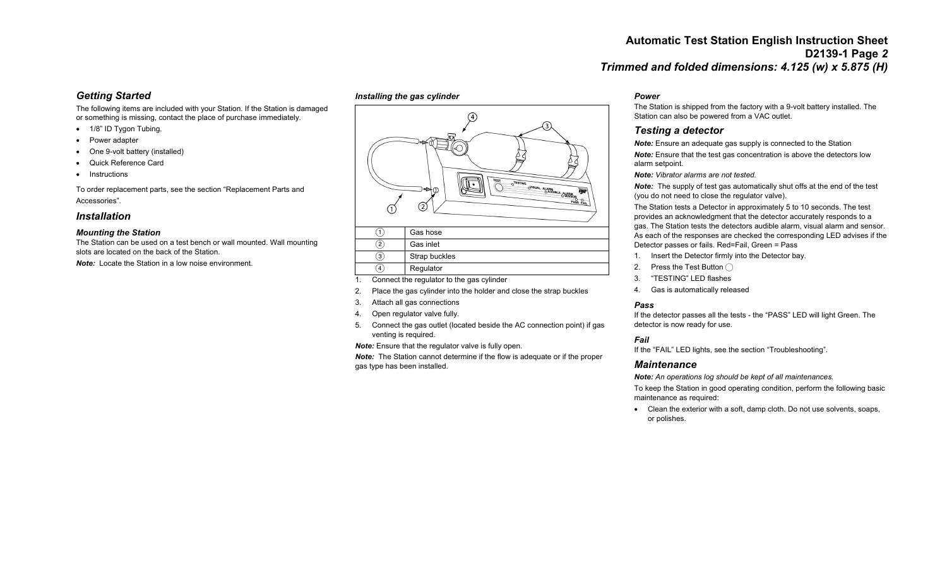# *Getting Started*

The following items are included with your Station. If the Station is damaged or something is missing, contact the place of purchase immediately.

- 1/8" ID Tygon Tubing.
- Power adapter
- One 9-volt battery (installed)
- Quick Reference Card
- Instructions

To order replacement parts, see the section "Replacement Parts and Accessories".

## *Installation*

### *Mounting the Station*

The Station can be used on a test bench or wall mounted. Wall mounting slots are located on the back of the Station.

*Note:* Locate the Station in a low noise environment.

## *Installing the gas cylinder*



- $\overline{2}$  Gas inlet
- 
- $\left( 3\right)$  Strap buckles
- (4) Regulator
- 1. Connect the regulator to the gas cylinder
- 2. Place the gas cylinder into the holder and close the strap buckles
- 3. Attach all gas connections
- 4. Open regulator valve fully.
- 5. Connect the gas outlet (located beside the AC connection point) if gas venting is required.

*Note:* Ensure that the regulator valve is fully open.

*Note:* The Station cannot determine if the flow is adequate or if the proper gas type has been installed.

### *Power*

The Station is shipped from the factory with a 9-volt battery installed. The Station can also be powered from a VAC outlet.

# *Testing a detector*

*Note:* Ensure an adequate gas supply is connected to the Station

*Note:* Ensure that the test gas concentration is above the detectors low alarm setpoint.

*Note: Vibrator alarms are not tested.*

*Note:* The supply of test gas automatically shut offs at the end of the test (you do not need to close the regulator valve).

The Station tests a Detector in approximately 5 to 10 seconds. The test provides an acknowledgment that the detector accurately responds to a gas. The Station tests the detectors audible alarm, visual alarm and sensor. As each of the responses are checked the corresponding LED advises if the Detector passes or fails. Red=Fail, Green = Pass

- 1. Insert the Detector firmly into the Detector bay.
- 2. Press the Test Button  $\bigcap$
- 3. "TESTING" LED flashes
- 4. Gas is automatically released

## *Pass*

If the detector passes all the tests - the "PASS" LED will light Green. The detector is now ready for use.

#### *Fail*

If the "FAIL" LED lights, see the section "Troubleshooting".

### *Maintenance*

*Note: An operations log should be kept of all maintenances.* 

To keep the Station in good operating condition, perform the following basic maintenance as required:

• Clean the exterior with a soft, damp cloth. Do not use solvents, soaps, or polishes.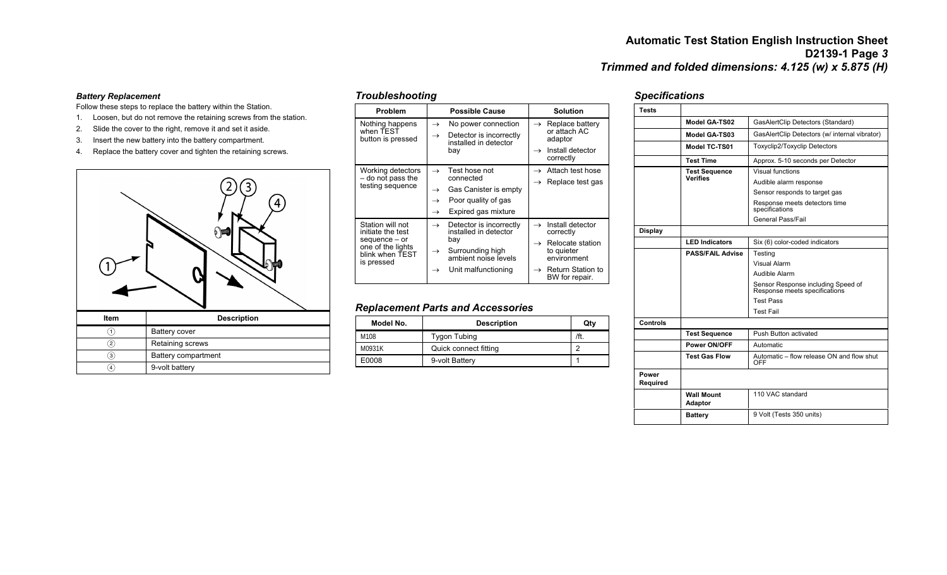#### *Battery Replacement*

Follow these steps to replace the battery within the Station.

- 1. Loosen, but do not remove the retaining screws from the station.
- 2. Slide the cover to the right, remove it and set it aside.
- 3. Insert the new battery into the battery compartment.
- 4. Replace the battery cover and tighten the retaining screws.



|   | Battery cover       |  |
|---|---------------------|--|
|   | Retaining screws    |  |
| 3 | Battery compartment |  |
|   | 9-volt battery      |  |

| Troubleshooting |  |
|-----------------|--|
|-----------------|--|

| Problem                                                                                                      | <b>Possible Cause</b>                                                                                                                                                         | <b>Solution</b>                                                                                                                                                                 |
|--------------------------------------------------------------------------------------------------------------|-------------------------------------------------------------------------------------------------------------------------------------------------------------------------------|---------------------------------------------------------------------------------------------------------------------------------------------------------------------------------|
| Nothing happens<br>when TEST<br>button is pressed                                                            | No power connection<br>$\rightarrow$<br>Detector is incorrectly<br>$\rightarrow$<br>installed in detector<br>bay                                                              | Replace battery<br>$\rightarrow$<br>or attach AC<br>adaptor<br>Install detector<br>$\rightarrow$<br>correctly                                                                   |
| Working detectors<br>- do not pass the<br>testing sequence                                                   | Test hose not<br>$\rightarrow$<br>connected<br>Gas Canister is empty<br>$\rightarrow$<br>Poor quality of gas<br>$\rightarrow$<br>Expired gas mixture<br>$\rightarrow$         | Attach test hose<br>$\rightarrow$<br>Replace test gas<br>$\rightarrow$                                                                                                          |
| Station will not<br>initiate the test<br>sequence - or<br>one of the lights<br>blink when TEST<br>is pressed | Detector is incorrectly<br>$\rightarrow$<br>installed in detector<br>bay<br>Surrounding high<br>$\rightarrow$<br>ambient noise levels<br>Unit malfunctioning<br>$\rightarrow$ | Install detector<br>$\rightarrow$<br>correctly<br>Relocate station<br>$\rightarrow$<br>to quieter<br>environment<br><b>Return Station to</b><br>$\rightarrow$<br>BW for repair. |

## *Replacement Parts and Accessories*

| Model No. | <b>Description</b>    | Qtv  |
|-----------|-----------------------|------|
| M108      | Tygon Tubing          | /ft. |
| M0931K    | Quick connect fitting | ◠    |
| E0008     | 9-volt Battery        |      |

## *Specifications*

| Tests             |                                     |                                                                     |  |
|-------------------|-------------------------------------|---------------------------------------------------------------------|--|
|                   | Model GA-TS02                       | GasAlertClip Detectors (Standard)                                   |  |
|                   | Model GA-TS03                       | GasAlertClip Detectors (w/ internal vibrator)                       |  |
|                   | Model TC-TS01                       | <b>Toxyclip2/Toxyclip Detectors</b>                                 |  |
|                   | <b>Test Time</b>                    | Approx. 5-10 seconds per Detector                                   |  |
|                   | <b>Test Sequence</b>                | Visual functions                                                    |  |
|                   | <b>Verifies</b>                     | Audible alarm response                                              |  |
|                   |                                     | Sensor responds to target gas                                       |  |
|                   |                                     | Response meets detectors time<br>specifications                     |  |
|                   |                                     | General Pass/Fail                                                   |  |
| <b>Display</b>    |                                     |                                                                     |  |
|                   | <b>LED Indicators</b>               | Six (6) color-coded indicators                                      |  |
|                   | <b>PASS/FAIL Advise</b>             | Testing                                                             |  |
|                   |                                     | Visual Alarm                                                        |  |
|                   |                                     | Audible Alarm                                                       |  |
|                   |                                     | Sensor Response including Speed of<br>Response meets specifications |  |
|                   |                                     | <b>Test Pass</b>                                                    |  |
|                   |                                     | <b>Test Fail</b>                                                    |  |
| Controls          |                                     |                                                                     |  |
|                   | <b>Test Sequence</b>                | Push Button activated                                               |  |
|                   | <b>Power ON/OFF</b>                 | Automatic                                                           |  |
|                   | <b>Test Gas Flow</b>                | Automatic - flow release ON and flow shut<br>OFF                    |  |
| Power<br>Required |                                     |                                                                     |  |
|                   | <b>Wall Mount</b><br><b>Adaptor</b> | 110 VAC standard                                                    |  |
|                   | <b>Battery</b>                      | 9 Volt (Tests 350 units)                                            |  |